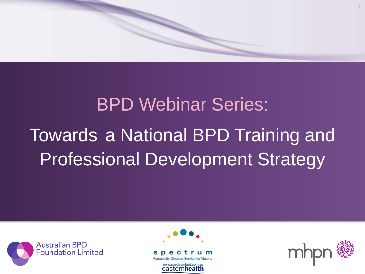

# BPD Webinar Series: Towards a National BPD Training and Professional Development Strategy





trum Personality Disorder Service for Victoria

> www.spectrumbpd.com.au easternhealth

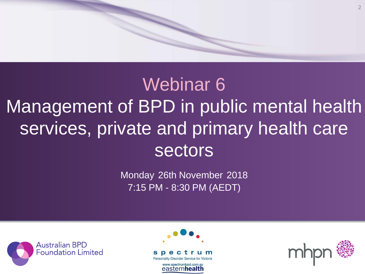# 2

# Webinar 6 Management of BPD in public mental health services, private and primary health care **sectors**

Monday 26th November 2018 7:15 PM - 8:30 PM (AEDT)





Personality Disorder Service for Victoria

www.spectrumbpd.com.au easternhealth

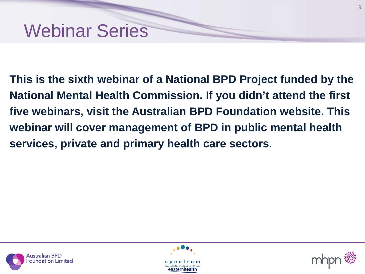

**This is the sixth webinar of a National BPD Project funded by the National Mental Health Commission. If you didn't attend the first five webinars, visit the Australian BPD Foundation website. This webinar will cover management of BPD in public mental health services, private and primary health care sectors.**





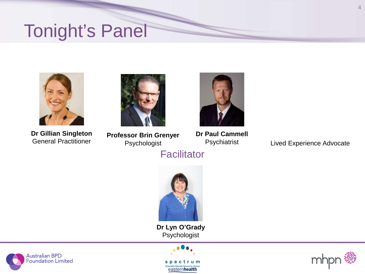# Tonight's Panel



**Dr Gillian Singleton**



**Professor Brin Grenyer** Psychologist General Practitioner **Exercise Experience Advocate** Psychologist **Containst Experience Advocate** 



**Dr Paul Cammell** Psychiatrist

**Facilitator** 



**Dr Lyn O'Grady** Psychologist





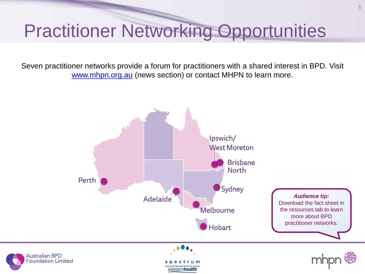# Practitioner Networking Opportunities

Seven practitioner networks provide a forum for practitioners with a shared interest in BPD. Visit [www.mhpn.org.au](http://www.mhpn.org.au/) (news section) or contact MHPN to learn more.

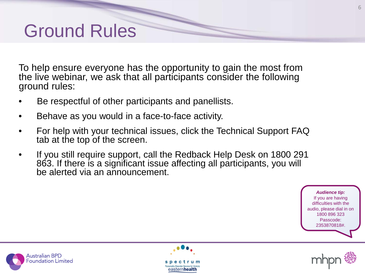# Ground Rules

To help ensure everyone has the opportunity to gain the most from the live webinar, we ask that all participants consider the following ground rules:

- Be respectful of other participants and panellists.
- Behave as you would in a face-to-face activity.
- For help with your technical issues, click the Technical Support FAQ tab at the top of the screen.
- If you still require support, call the Redback Help Desk on 1800 291 863. If there is a significant issue affecting all participants, you will be alerted via an announcement.

*Audience tip:* If you are having difficulties with the audio, please dial in on 1800 896 323 Passcode: 2353870818#.





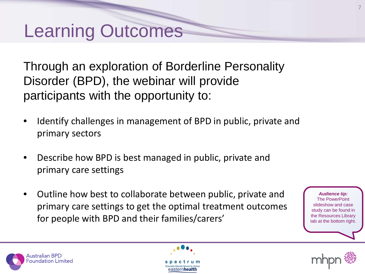# Learning Outcomes

Through an exploration of Borderline Personality Disorder (BPD), the webinar will provide participants with the opportunity to:

- Identify challenges in management of BPD in public, private and primary sectors
- Describe how BPD is best managed in public, private and primary care settings
- Outline how best to collaborate between public, private and primary care settings to get the optimal treatment outcomes for people with BPD and their families/carers'

*Audience tip:* The PowerPoint slideshow and case study can be found in the Resources Library tab at the bottom right.





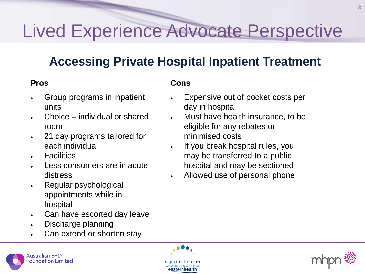### **Accessing Private Hospital Inpatient Treatment**

- Group programs in inpatient units
- Choice individual or shared room
- 21 day programs tailored for each individual
- Facilities
- Less consumers are in acute distress
- Regular psychological appointments while in hospital
- Can have escorted day leave
- Discharge planning
- Can extend or shorten stay

- Expensive out of pocket costs per day in hospital
- Must have health insurance, to be eligible for any rebates or minimised costs
- If you break hospital rules, you may be transferred to a public hospital and may be sectioned
- Allowed use of personal phone





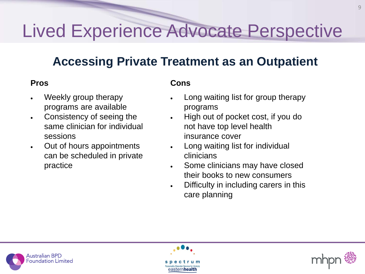#### **Accessing Private Treatment as an Outpatient**

- Weekly group therapy programs are available
- Consistency of seeing the same clinician for individual sessions
- Out of hours appointments can be scheduled in private practice

- Long waiting list for group therapy programs
- High out of pocket cost, if you do not have top level health insurance cover
- Long waiting list for individual clinicians
- Some clinicians may have closed their books to new consumers
- Difficulty in including carers in this care planning





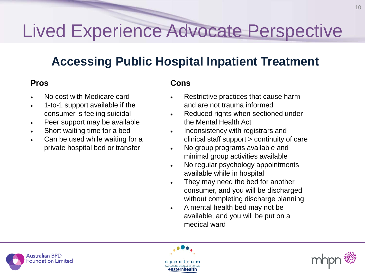### **Accessing Public Hospital Inpatient Treatment**

- No cost with Medicare card
- 1-to-1 support available if the consumer is feeling suicidal
- Peer support may be available
- Short waiting time for a bed
- Can be used while waiting for a private hospital bed or transfer

- Restrictive practices that cause harm and are not trauma informed
- Reduced rights when sectioned under the Mental Health Act
- Inconsistency with registrars and clinical staff support > continuity of care
- No group programs available and minimal group activities available
- No regular psychology appointments available while in hospital
- They may need the bed for another consumer, and you will be discharged without completing discharge planning
- A mental health bed may not be available, and you will be put on a medical ward





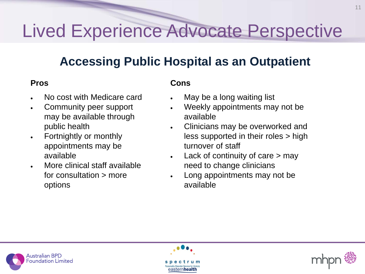### **Accessing Public Hospital as an Outpatient**

- No cost with Medicare card
- Community peer support may be available through public health
- Fortnightly or monthly appointments may be available
- More clinical staff available for consultation > more options

- May be a long waiting list
- Weekly appointments may not be available
- Clinicians may be overworked and less supported in their roles > high turnover of staff
- Lack of continuity of care  $>$  may need to change clinicians
- Long appointments may not be available





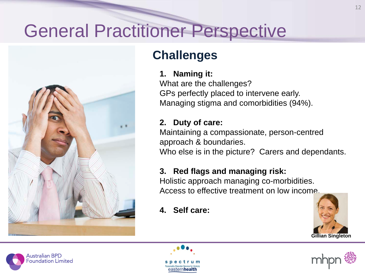

### **Challenges**

#### **1. Naming it:**

What are the challenges? GPs perfectly placed to intervene early. Managing stigma and comorbidities (94%).

#### **2. Duty of care:**

Maintaining a compassionate, person-centred approach & boundaries.

Who else is in the picture? Carers and dependants.

#### **3. Red flags and managing risk:**

Holistic approach managing co-morbidities. Access to effective treatment on low income.

**4. Self care:** 







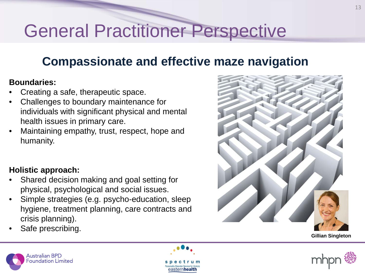#### **Compassionate and effective maze navigation**

#### **Boundaries:**

- Creating a safe, therapeutic space.
- Challenges to boundary maintenance for individuals with significant physical and mental health issues in primary care.
- Maintaining empathy, trust, respect, hope and humanity.

#### **Holistic approach:**

- Shared decision making and goal setting for physical, psychological and social issues.
- Simple strategies (e.g. psycho-education, sleep hygiene, treatment planning, care contracts and crisis planning).
- Safe prescribing.











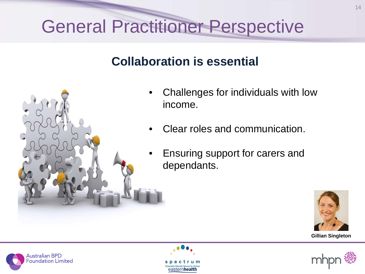#### **Collaboration is essential**



- Challenges for individuals with low income.
- Clear roles and communication.
- Ensuring support for carers and dependants.









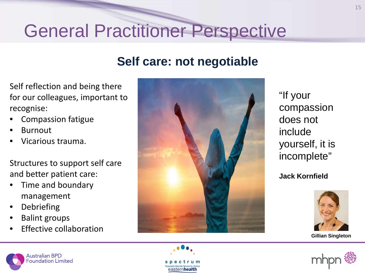#### **Self care: not negotiable**

Self reflection and being there for our colleagues, important to recognise:

- Compassion fatigue
- **Burnout**
- Vicarious trauma.

Structures to support self care and better patient care:

- Time and boundary management
- **Debriefing**
- Balint groups
- **Effective collaboration**



"If your compassion does not include yourself, it is incomplete"

#### **Jack Kornfield**







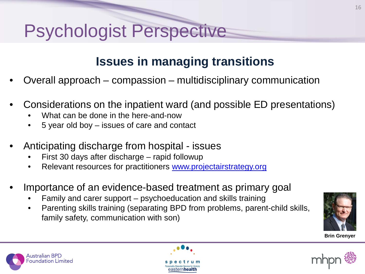# Psychologist Perspective

### **Issues in managing transitions**

- Overall approach compassion multidisciplinary communication
- Considerations on the inpatient ward (and possible ED presentations)
	- What can be done in the here-and-now

ustralian BPD oundation Limited

- 5 year old boy issues of care and contact
- Anticipating discharge from hospital issues
	- First 30 days after discharge rapid followup
	- Relevant resources for practitioners [www.projectairstrategy.org](http://www.projectairstrategy.org/)
- Importance of an evidence-based treatment as primary goal
	- Family and carer support psychoeducation and skills training
	- Parenting skills training (separating BPD from problems, parent-child skills, family safety, communication with son)





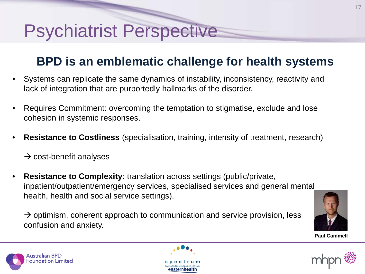### **BPD is an emblematic challenge for health systems**

- Systems can replicate the same dynamics of instability, inconsistency, reactivity and lack of integration that are purportedly hallmarks of the disorder.
- Requires Commitment: overcoming the temptation to stigmatise, exclude and lose cohesion in systemic responses.
- **Resistance to Costliness** (specialisation, training, intensity of treatment, research)

 $\rightarrow$  cost-benefit analyses

wstralian BPD oundation Limited

• **Resistance to Complexity**: translation across settings (public/private, inpatient/outpatient/emergency services, specialised services and general mental health, health and social service settings).

 $\rightarrow$  optimism, coherent approach to communication and service provision, less confusion and anxiety.





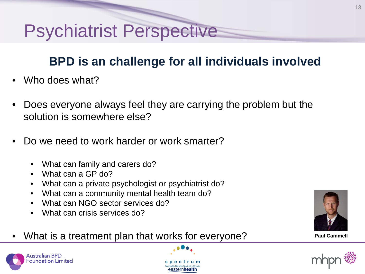### **BPD is an challenge for all individuals involved**

- Who does what?
- Does everyone always feel they are carrying the problem but the solution is somewhere else?
- Do we need to work harder or work smarter?
	- What can family and carers do?
	- What can a GP do?

Australian BPD oundation Limited<sup>:</sup>

- What can a private psychologist or psychiatrist do?
- What can a community mental health team do?
- What can NGO sector services do?
- What can crisis services do?
- What is a treatment plan that works for everyone?



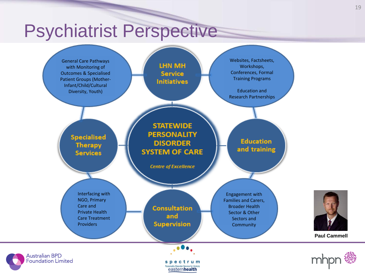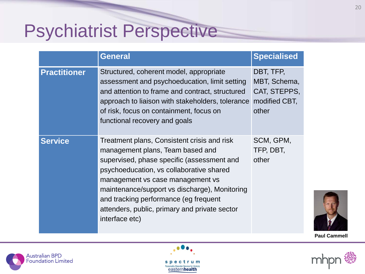|                     | <b>General</b>                                                                                                                                                                                                                                                                                                                                                             | <b>Specialised</b>                                                  |
|---------------------|----------------------------------------------------------------------------------------------------------------------------------------------------------------------------------------------------------------------------------------------------------------------------------------------------------------------------------------------------------------------------|---------------------------------------------------------------------|
| <b>Practitioner</b> | Structured, coherent model, appropriate<br>assessment and psychoeducation, limit setting<br>and attention to frame and contract, structured<br>approach to liaison with stakeholders, tolerance<br>of risk, focus on containment, focus on<br>functional recovery and goals                                                                                                | DBT, TFP,<br>MBT, Schema,<br>CAT, STEPPS,<br>modified CBT,<br>other |
| <b>Service</b>      | Treatment plans, Consistent crisis and risk<br>management plans, Team based and<br>supervised, phase specific (assessment and<br>psychoeducation, vs collaborative shared<br>management vs case management vs<br>maintenance/support vs discharge), Monitoring<br>and tracking performance (eg frequent<br>attenders, public, primary and private sector<br>interface etc) | SCM, GPM,<br>TFP, DBT,<br>other                                     |







**Paul Cammell**

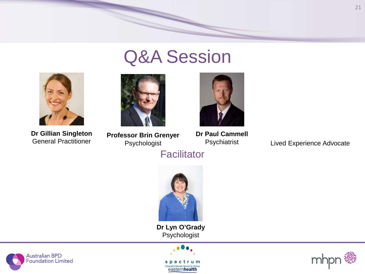

## Q&A Session



**Dr Gillian Singleton**



**Professor Brin Grenyer** Psychologist



**Dr Paul Cammell** Psychiatrist

Lived Experience Advocate

**Facilitator** 



**Dr Lyn O'Grady** Psychologist





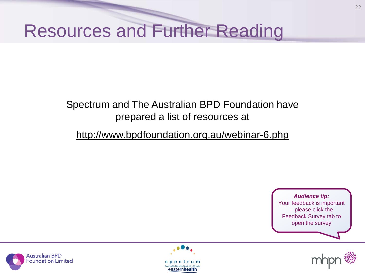# Resources and Further Reading

#### Spectrum and The Australian BPD Foundation have prepared a list of resources at

#### http://www.bpdfoundation.org.au/webinar-6.php





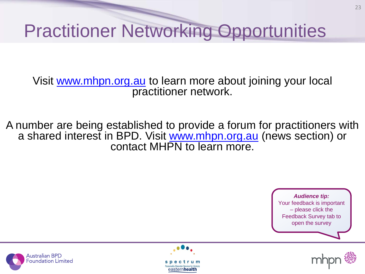# Practitioner Networking Opportunities

Visit [www.mhpn.org.au](http://www.mhpn.org.au/) to learn more about joining your local practitioner network.

A number are being established to provide a forum for practitioners with a shared interest in BPD. Visit [www.mhpn.org.au](http://www.mhpn.org.au/) (news section) or contact MHPN to learn more.





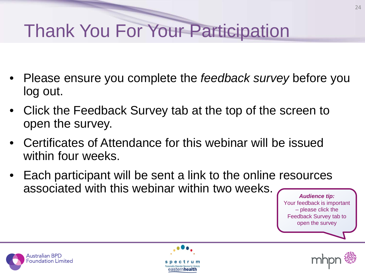# Thank You For Your Participation

- Please ensure you complete the *feedback survey* before you log out.
- Click the Feedback Survey tab at the top of the screen to open the survey.
- Certificates of Attendance for this webinar will be issued within four weeks.
- Each participant will be sent a link to the online resources associated with this webinar within two weeks.